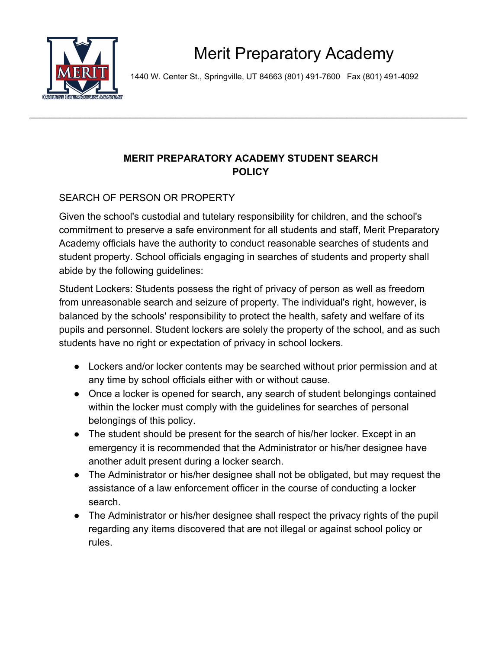

1440 W. Center St., Springville, UT 84663 (801) 491-7600 Fax (801) 491-4092

## **MERIT PREPARATORY ACADEMY STUDENT SEARCH POLICY**

\_\_\_\_\_\_\_\_\_\_\_\_\_\_\_\_\_\_\_\_\_\_\_\_\_\_\_\_\_\_\_\_\_\_\_\_\_\_\_\_\_\_\_\_\_\_\_\_\_\_\_\_\_\_\_\_\_\_\_\_\_\_\_\_\_\_\_\_\_\_\_\_\_\_\_\_\_\_\_\_\_\_\_\_\_\_\_

## SEARCH OF PERSON OR PROPERTY

Given the school's custodial and tutelary responsibility for children, and the school's commitment to preserve a safe environment for all students and staff, Merit Preparatory Academy officials have the authority to conduct reasonable searches of students and student property. School officials engaging in searches of students and property shall abide by the following guidelines:

Student Lockers: Students possess the right of privacy of person as well as freedom from unreasonable search and seizure of property. The individual's right, however, is balanced by the schools' responsibility to protect the health, safety and welfare of its pupils and personnel. Student lockers are solely the property of the school, and as such students have no right or expectation of privacy in school lockers.

- Lockers and/or locker contents may be searched without prior permission and at any time by school officials either with or without cause.
- Once a locker is opened for search, any search of student belongings contained within the locker must comply with the guidelines for searches of personal belongings of this policy.
- The student should be present for the search of his/her locker. Except in an emergency it is recommended that the Administrator or his/her designee have another adult present during a locker search.
- The Administrator or his/her designee shall not be obligated, but may request the assistance of a law enforcement officer in the course of conducting a locker search.
- The Administrator or his/her designee shall respect the privacy rights of the pupil regarding any items discovered that are not illegal or against school policy or rules.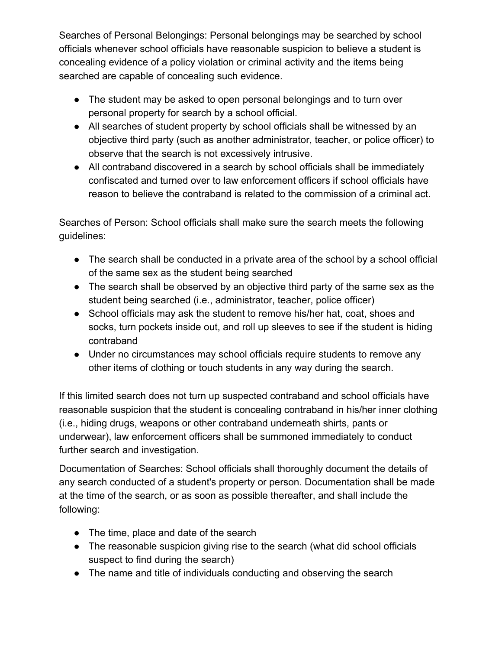Searches of Personal Belongings: Personal belongings may be searched by school officials whenever school officials have reasonable suspicion to believe a student is concealing evidence of a policy violation or criminal activity and the items being searched are capable of concealing such evidence.

- The student may be asked to open personal belongings and to turn over personal property for search by a school official.
- All searches of student property by school officials shall be witnessed by an objective third party (such as another administrator, teacher, or police officer) to observe that the search is not excessively intrusive.
- All contraband discovered in a search by school officials shall be immediately confiscated and turned over to law enforcement officers if school officials have reason to believe the contraband is related to the commission of a criminal act.

Searches of Person: School officials shall make sure the search meets the following guidelines:

- The search shall be conducted in a private area of the school by a school official of the same sex as the student being searched
- The search shall be observed by an objective third party of the same sex as the student being searched (i.e., administrator, teacher, police officer)
- School officials may ask the student to remove his/her hat, coat, shoes and socks, turn pockets inside out, and roll up sleeves to see if the student is hiding contraband
- Under no circumstances may school officials require students to remove any other items of clothing or touch students in any way during the search.

If this limited search does not turn up suspected contraband and school officials have reasonable suspicion that the student is concealing contraband in his/her inner clothing (i.e., hiding drugs, weapons or other contraband underneath shirts, pants or underwear), law enforcement officers shall be summoned immediately to conduct further search and investigation.

Documentation of Searches: School officials shall thoroughly document the details of any search conducted of a student's property or person. Documentation shall be made at the time of the search, or as soon as possible thereafter, and shall include the following:

- The time, place and date of the search
- The reasonable suspicion giving rise to the search (what did school officials suspect to find during the search)
- The name and title of individuals conducting and observing the search